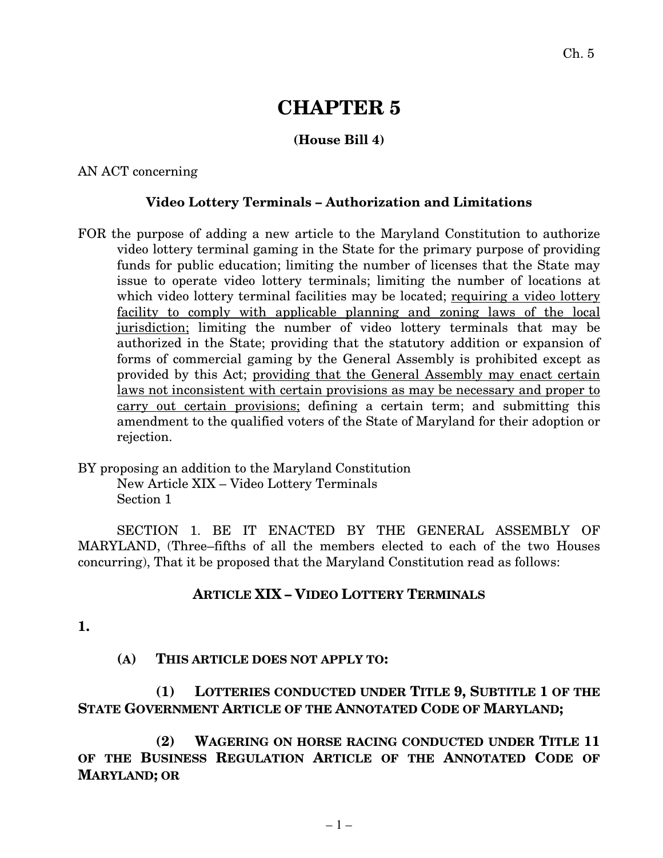# **CHAPTER 5**

## **(House Bill 4)**

AN ACT concerning

#### **Video Lottery Terminals – Authorization and Limitations**

- FOR the purpose of adding a new article to the Maryland Constitution to authorize video lottery terminal gaming in the State for the primary purpose of providing funds for public education; limiting the number of licenses that the State may issue to operate video lottery terminals; limiting the number of locations at which video lottery terminal facilities may be located; requiring a video lottery facility to comply with applicable planning and zoning laws of the local jurisdiction; limiting the number of video lottery terminals that may be authorized in the State; providing that the statutory addition or expansion of forms of commercial gaming by the General Assembly is prohibited except as provided by this Act; providing that the General Assembly may enact certain laws not inconsistent with certain provisions as may be necessary and proper to carry out certain provisions; defining a certain term; and submitting this amendment to the qualified voters of the State of Maryland for their adoption or rejection.
- BY proposing an addition to the Maryland Constitution New Article XIX – Video Lottery Terminals Section 1

SECTION 1. BE IT ENACTED BY THE GENERAL ASSEMBLY OF MARYLAND, (Three–fifths of all the members elected to each of the two Houses concurring), That it be proposed that the Maryland Constitution read as follows:

### **ARTICLE XIX – VIDEO LOTTERY TERMINALS**

**1.**

### **(A) THIS ARTICLE DOES NOT APPLY TO:**

**(1) LOTTERIES CONDUCTED UNDER TITLE 9, SUBTITLE 1 OF THE STATE GOVERNMENT ARTICLE OF THE ANNOTATED CODE OF MARYLAND;**

**(2) WAGERING ON HORSE RACING CONDUCTED UNDER TITLE 11 OF THE BUSINESS REGULATION ARTICLE OF THE ANNOTATED CODE OF MARYLAND; OR**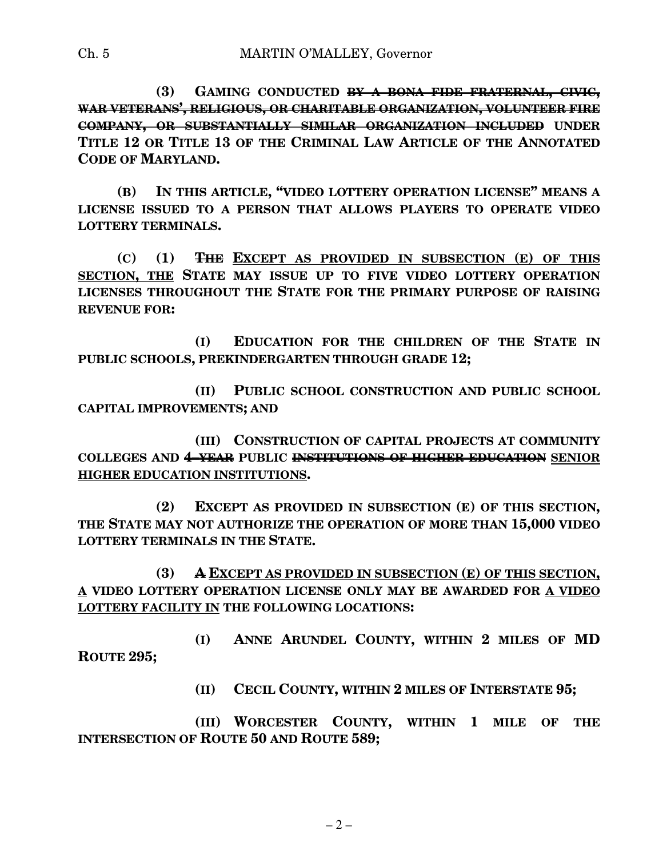**(3) GAMING CONDUCTED BY A BONA FIDE FRATERNAL, CIVIC, WAR VETERANS' , RELIGIOUS, OR CHARITABLE ORGANIZATION, VOLUNTEER FIRE COMPANY, OR SUBSTANTIALLY SIMILAR ORGANIZATION INCLUDED UNDER TITLE 12 OR TITLE 13 OF THE CRIMINAL LAW ARTICLE OF THE ANNOTATED CODE OF MARYLAND.**

**(B) IN THIS ARTICLE, "VIDEO LOTTERY OPERATION LICENSE" MEANS A LICENSE ISSUED TO A PERSON THAT ALLOWS PLAYERS TO OPERATE VIDEO LOTTERY TERMINALS.**

**(C) (1) THE EXCEPT AS PROVIDED IN SUBSECTION (E) OF THIS SECTION, THE STATE MAY ISSUE UP TO FIVE VIDEO LOTTERY OPERATION LICENSES THROUGHOUT THE STATE FOR THE PRIMARY PURPOSE OF RAISING REVENUE FOR:**

**(I) EDUCATION FOR THE CHILDREN OF THE STATE IN PUBLIC SCHOOLS, PREKINDERGARTEN THROUGH GRADE 12;**

**(II) PUBLIC SCHOOL CONSTRUCTION AND PUBLIC SCHOOL CAPITAL IMPROVEMENTS; AND**

**(III) CONSTRUCTION OF CAPITAL PROJECTS AT COMMUNITY COLLEGES AND 4–YEAR PUBLIC INSTITUTIONS OF HIGHER EDUCATION SENIOR HIGHER EDUCATION INSTITUTIONS.**

**(2) EXCEPT AS PROVIDED IN SUBSECTION (E) OF THIS SECTION, THE STATE MAY NOT AUTHORIZE THE OPERATION OF MORE THAN 15,000 VIDEO LOTTERY TERMINALS IN THE STATE.**

**(3) A EXCEPT AS PROVIDED IN SUBSECTION (E) OF THIS SECTION, A VIDEO LOTTERY OPERATION LICENSE ONLY MAY BE AWARDED FOR A VIDEO LOTTERY FACILITY IN THE FOLLOWING LOCATIONS:**

**(I) ANNE ARUNDEL COUNTY, WITHIN 2 MILES OF MD ROUTE 295;**

**(II) CECIL COUNTY, WITHIN 2 MILES OF INTERSTATE 95;**

**(III) WORCESTER COUNTY, WITHIN 1 MILE OF THE INTERSECTION OF ROUTE 50 AND ROUTE 589;**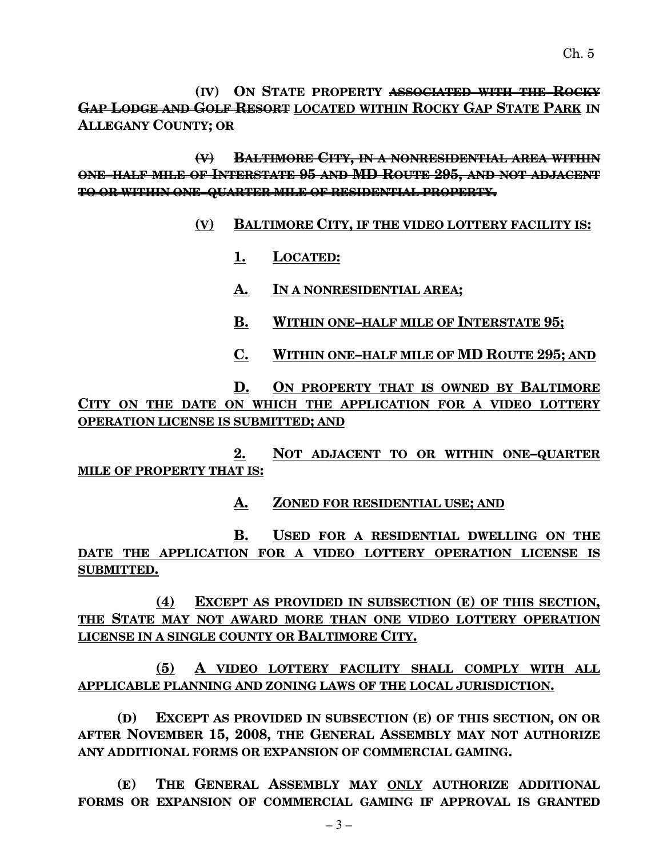**(IV) ON STATE PROPERTY ASSOCIATED WITH THE ROCKY GAP LODGE AND GOLF RESORT LOCATED WITHIN ROCKY GAP STATE PARK IN ALLEGANY COUNTY; OR**

**(V) BALTIMORE CITY, IN A NONRESIDENTIAL AREA WITHIN ONE–HALF MILE OF INTERSTATE 95 AND MD ROUTE 295, AND NOT ADJACENT TO OR WITHIN ONE–QUARTER MILE OF RESIDENTIAL PROPERTY.**

### **(V) BALTIMORE CITY, IF THE VIDEO LOTTERY FACILITY IS:**

- **1. LOCATED:**
- **A. IN A NONRESIDENTIAL AREA;**
- **B. WITHIN ONE–HALF MILE OF INTERSTATE 95;**
- **C. WITHIN ONE–HALF MILE OF MD ROUTE 295; AND**

**D. ON PROPERTY THAT IS OWNED BY BALTIMORE CITY ON THE DATE ON WHICH THE APPLICATION FOR A VIDEO LOTTERY OPERATION LICENSE IS SUBMITTED; AND**

**2. NOT ADJACENT TO OR WITHIN ONE–QUARTER MILE OF PROPERTY THAT IS:**

**A. ZONED FOR RESIDENTIAL USE; AND**

**B. USED FOR A RESIDENTIAL DWELLING ON THE DATE THE APPLICATION FOR A VIDEO LOTTERY OPERATION LICENSE IS SUBMITTED.**

**(4) EXCEPT AS PROVIDED IN SUBSECTION (E) OF THIS SECTION, THE STATE MAY NOT AWARD MORE THAN ONE VIDEO LOTTERY OPERATION LICENSE IN A SINGLE COUNTY OR BALTIMORE CITY.**

**(5) A VIDEO LOTTERY FACILITY SHALL COMPLY WITH ALL APPLICABLE PLANNING AND ZONING LAWS OF THE LOCAL JURISDICTION.**

**(D) EXCEPT AS PROVIDED IN SUBSECTION (E) OF THIS SECTION, ON OR AFTER NOVEMBER 15, 2008, THE GENERAL ASSEMBLY MAY NOT AUTHORIZE ANY ADDITIONAL FORMS OR EXPANSION OF COMMERCIAL GAMING.**

**(E) THE GENERAL ASSEMBLY MAY ONLY AUTHORIZE ADDITIONAL FORMS OR EXPANSION OF COMMERCIAL GAMING IF APPROVAL IS GRANTED**